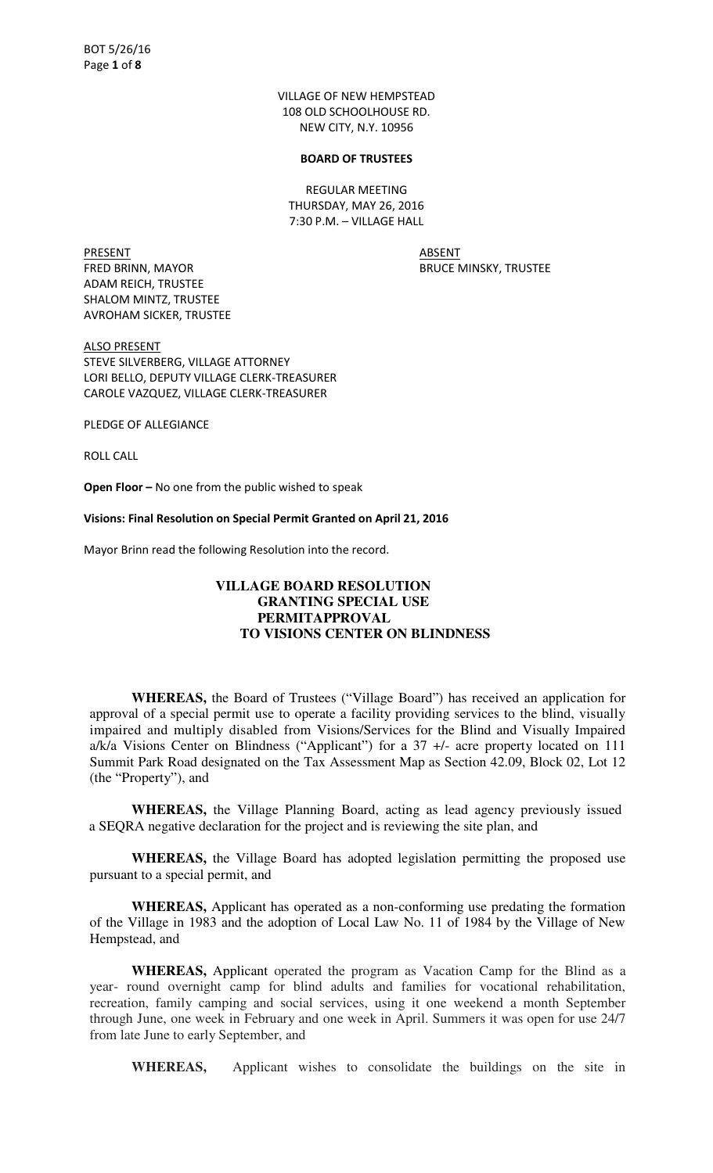VILLAGE OF NEW HEMPSTEAD 108 OLD SCHOOLHOUSE RD. NEW CITY, N.Y. 10956

#### **BOARD OF TRUSTEES**

REGULAR MEETING THURSDAY, MAY 26, 2016 7:30 P.M. – VILLAGE HALL

PRESENT ABSENT FRED BRINN, MAYOR BRUCE MINSKY, TRUSTEE ADAM REICH, TRUSTEE SHALOM MINTZ, TRUSTEE AVROHAM SICKER, TRUSTEE

ALSO PRESENT STEVE SILVERBERG, VILLAGE ATTORNEY LORI BELLO, DEPUTY VILLAGE CLERK-TREASURER CAROLE VAZQUEZ, VILLAGE CLERK-TREASURER

PLEDGE OF ALLEGIANCE

ROLL CALL

**Open Floor –** No one from the public wished to speak

**Visions: Final Resolution on Special Permit Granted on April 21, 2016** 

Mayor Brinn read the following Resolution into the record.

#### **VILLAGE BOARD RESOLUTION GRANTING SPECIAL USE PERMITAPPROVAL TO VISIONS CENTER ON BLINDNESS**

**WHEREAS,** the Board of Trustees ("Village Board") has received an application for approval of a special permit use to operate a facility providing services to the blind, visually impaired and multiply disabled from Visions/Services for the Blind and Visually Impaired  $a/k/a$  Visions Center on Blindness ("Applicant") for a 37  $+/-$  acre property located on 111 Summit Park Road designated on the Tax Assessment Map as Section 42.09, Block 02, Lot 12 (the "Property"), and

**WHEREAS,** the Village Planning Board, acting as lead agency previously issued a SEQRA negative declaration for the project and is reviewing the site plan, and

**WHEREAS,** the Village Board has adopted legislation permitting the proposed use pursuant to a special permit, and

**WHEREAS,** Applicant has operated as a non-conforming use predating the formation of the Village in 1983 and the adoption of Local Law No. 11 of 1984 by the Village of New Hempstead, and

**WHEREAS,** Applicant operated the program as Vacation Camp for the Blind as a year- round overnight camp for blind adults and families for vocational rehabilitation, recreation, family camping and social services, using it one weekend a month September through June, one week in February and one week in April. Summers it was open for use 24/7 from late June to early September, and

**WHEREAS,** Applicant wishes to consolidate the buildings on the site in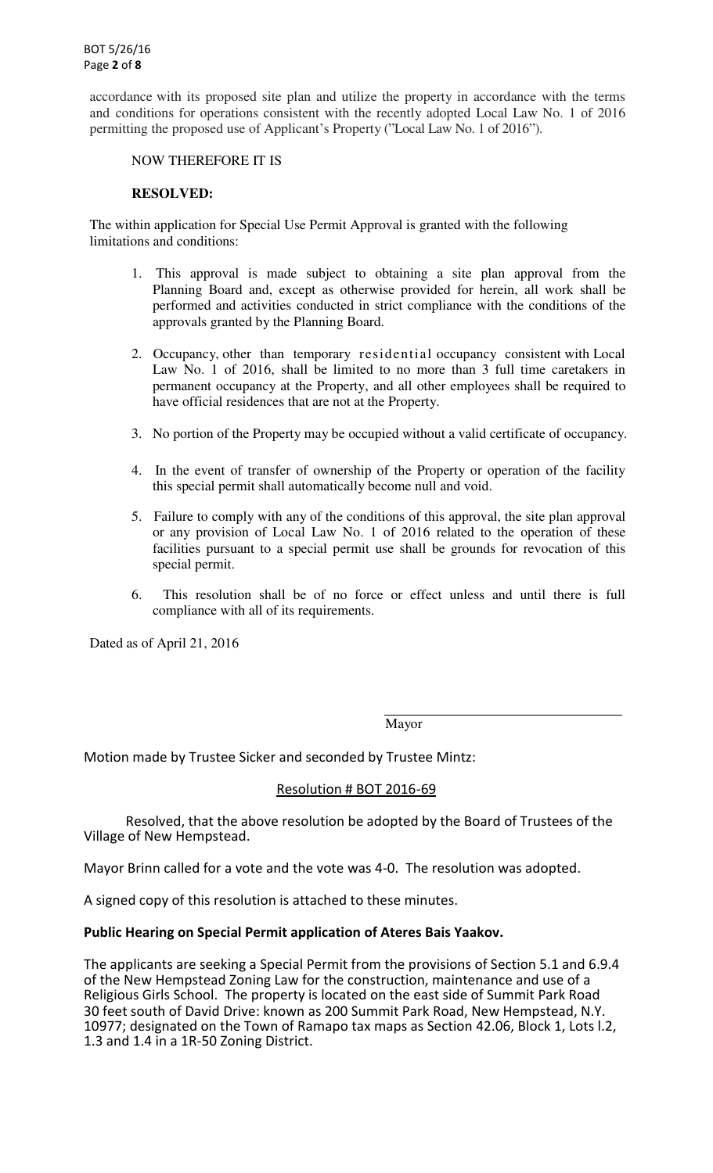accordance with its proposed site plan and utilize the property in accordance with the terms and conditions for operations consistent with the recently adopted Local Law No. 1 of 2016 permitting the proposed use of Applicant's Property ("Local Law No. 1 of 2016").

### NOW THEREFORE IT IS

### **RESOLVED:**

The within application for Special Use Permit Approval is granted with the following limitations and conditions:

- 1. This approval is made subject to obtaining a site plan approval from the Planning Board and, except as otherwise provided for herein, all work shall be performed and activities conducted in strict compliance with the conditions of the approvals granted by the Planning Board.
- 2. Occupancy, other than temporary residential occupancy consistent with Local Law No. 1 of 2016, shall be limited to no more than 3 full time caretakers in permanent occupancy at the Property, and all other employees shall be required to have official residences that are not at the Property.
- 3. No portion of the Property may be occupied without a valid certificate of occupancy.
- 4. In the event of transfer of ownership of the Property or operation of the facility this special permit shall automatically become null and void.
- 5. Failure to comply with any of the conditions of this approval, the site plan approval or any provision of Local Law No. 1 of 2016 related to the operation of these facilities pursuant to a special permit use shall be grounds for revocation of this special permit.
- 6. This resolution shall be of no force or effect unless and until there is full compliance with all of its requirements.

Dated as of April 21, 2016

Mayor

Motion made by Trustee Sicker and seconded by Trustee Mintz:

# Resolution # BOT 2016-69

 Resolved, that the above resolution be adopted by the Board of Trustees of the Village of New Hempstead.

Mayor Brinn called for a vote and the vote was 4-0. The resolution was adopted.

A signed copy of this resolution is attached to these minutes.

# **Public Hearing on Special Permit application of Ateres Bais Yaakov.**

The applicants are seeking a Special Permit from the provisions of Section 5.1 and 6.9.4 of the New Hempstead Zoning Law for the construction, maintenance and use of a Religious Girls School. The property is located on the east side of Summit Park Road 30 feet south of David Drive: known as 200 Summit Park Road, New Hempstead, N.Y. 10977; designated on the Town of Ramapo tax maps as Section 42.06, Block 1, Lots l.2, 1.3 and 1.4 in a 1R-50 Zoning District.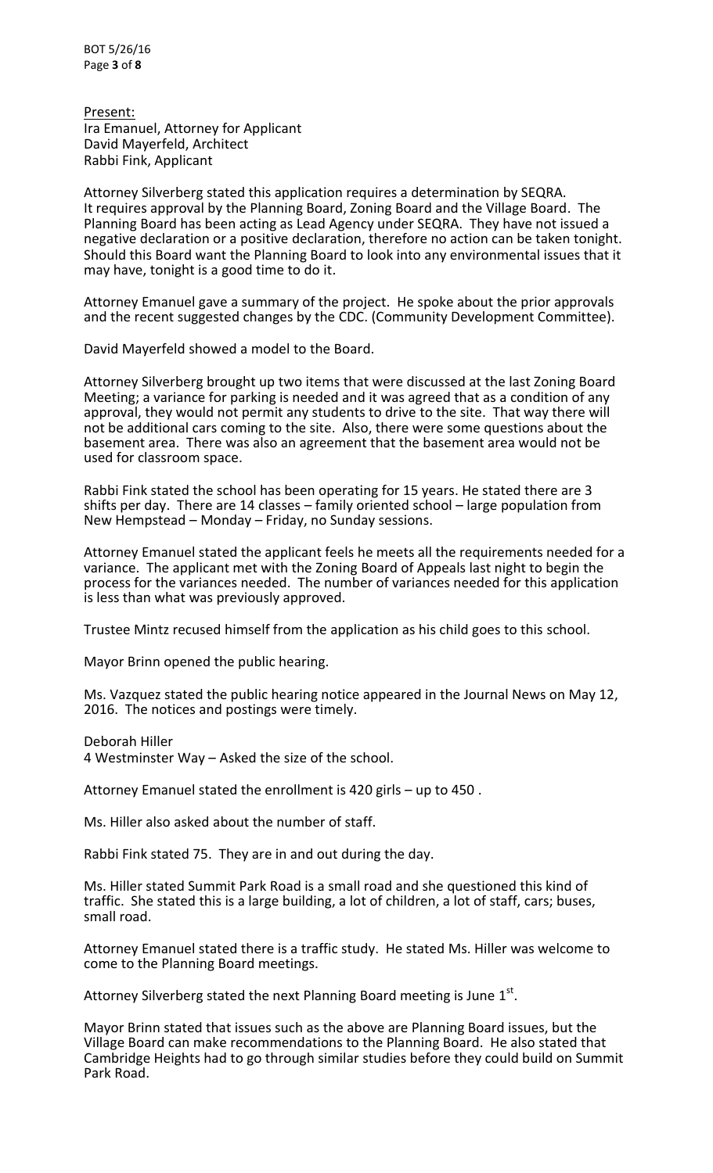BOT 5/26/16 Page **3** of **8**

Present: Ira Emanuel, Attorney for Applicant David Mayerfeld, Architect Rabbi Fink, Applicant

Attorney Silverberg stated this application requires a determination by SEQRA. It requires approval by the Planning Board, Zoning Board and the Village Board. The Planning Board has been acting as Lead Agency under SEQRA. They have not issued a negative declaration or a positive declaration, therefore no action can be taken tonight. Should this Board want the Planning Board to look into any environmental issues that it may have, tonight is a good time to do it.

Attorney Emanuel gave a summary of the project. He spoke about the prior approvals and the recent suggested changes by the CDC. (Community Development Committee).

David Mayerfeld showed a model to the Board.

Attorney Silverberg brought up two items that were discussed at the last Zoning Board Meeting; a variance for parking is needed and it was agreed that as a condition of any approval, they would not permit any students to drive to the site. That way there will not be additional cars coming to the site. Also, there were some questions about the basement area. There was also an agreement that the basement area would not be used for classroom space.

Rabbi Fink stated the school has been operating for 15 years. He stated there are 3 shifts per day. There are 14 classes – family oriented school – large population from New Hempstead – Monday – Friday, no Sunday sessions.

Attorney Emanuel stated the applicant feels he meets all the requirements needed for a variance. The applicant met with the Zoning Board of Appeals last night to begin the process for the variances needed. The number of variances needed for this application is less than what was previously approved.

Trustee Mintz recused himself from the application as his child goes to this school.

Mayor Brinn opened the public hearing.

Ms. Vazquez stated the public hearing notice appeared in the Journal News on May 12, 2016. The notices and postings were timely.

Deborah Hiller 4 Westminster Way – Asked the size of the school.

Attorney Emanuel stated the enrollment is 420 girls – up to 450 .

Ms. Hiller also asked about the number of staff.

Rabbi Fink stated 75. They are in and out during the day.

Ms. Hiller stated Summit Park Road is a small road and she questioned this kind of traffic. She stated this is a large building, a lot of children, a lot of staff, cars; buses, small road.

Attorney Emanuel stated there is a traffic study. He stated Ms. Hiller was welcome to come to the Planning Board meetings.

Attorney Silverberg stated the next Planning Board meeting is June  $1^{st}$ .

Mayor Brinn stated that issues such as the above are Planning Board issues, but the Village Board can make recommendations to the Planning Board. He also stated that Cambridge Heights had to go through similar studies before they could build on Summit Park Road.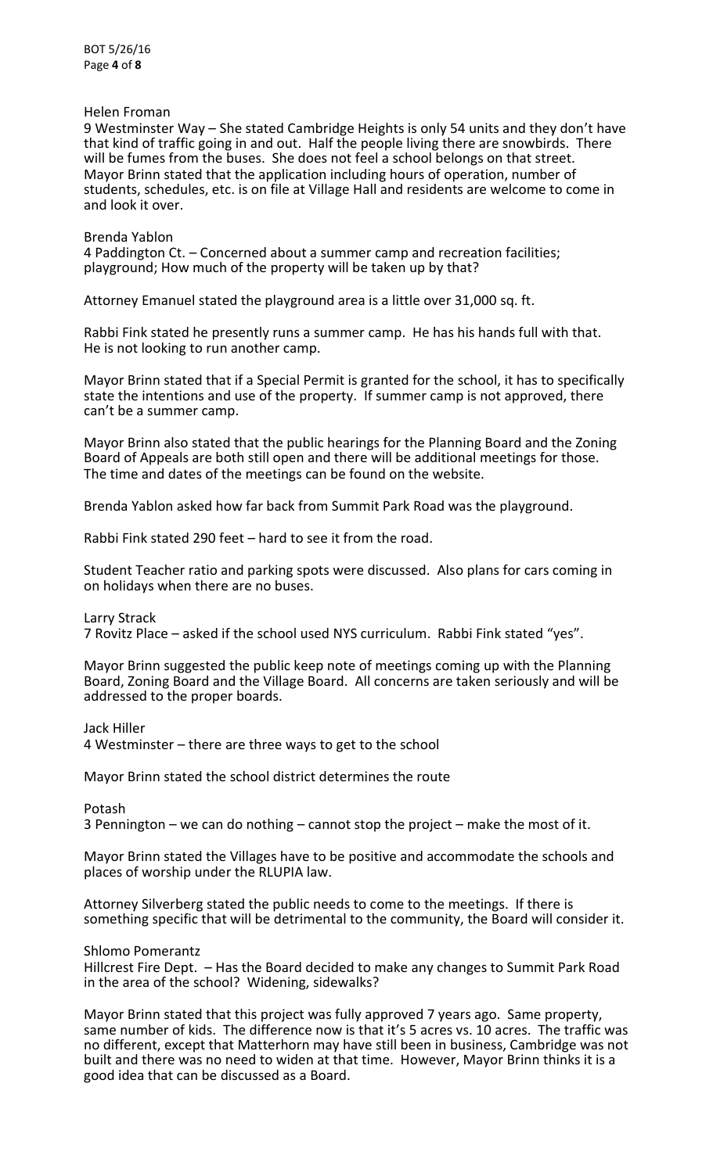BOT 5/26/16 Page **4** of **8**

### Helen Froman

9 Westminster Way – She stated Cambridge Heights is only 54 units and they don't have that kind of traffic going in and out. Half the people living there are snowbirds. There will be fumes from the buses. She does not feel a school belongs on that street. Mayor Brinn stated that the application including hours of operation, number of students, schedules, etc. is on file at Village Hall and residents are welcome to come in and look it over.

#### Brenda Yablon

4 Paddington Ct. – Concerned about a summer camp and recreation facilities; playground; How much of the property will be taken up by that?

Attorney Emanuel stated the playground area is a little over 31,000 sq. ft.

Rabbi Fink stated he presently runs a summer camp. He has his hands full with that. He is not looking to run another camp.

Mayor Brinn stated that if a Special Permit is granted for the school, it has to specifically state the intentions and use of the property. If summer camp is not approved, there can't be a summer camp.

Mayor Brinn also stated that the public hearings for the Planning Board and the Zoning Board of Appeals are both still open and there will be additional meetings for those. The time and dates of the meetings can be found on the website.

Brenda Yablon asked how far back from Summit Park Road was the playground.

Rabbi Fink stated 290 feet – hard to see it from the road.

Student Teacher ratio and parking spots were discussed. Also plans for cars coming in on holidays when there are no buses.

Larry Strack

7 Rovitz Place – asked if the school used NYS curriculum. Rabbi Fink stated "yes".

Mayor Brinn suggested the public keep note of meetings coming up with the Planning Board, Zoning Board and the Village Board. All concerns are taken seriously and will be addressed to the proper boards.

Jack Hiller

4 Westminster – there are three ways to get to the school

Mayor Brinn stated the school district determines the route

Potash

3 Pennington – we can do nothing – cannot stop the project – make the most of it.

Mayor Brinn stated the Villages have to be positive and accommodate the schools and places of worship under the RLUPIA law.

Attorney Silverberg stated the public needs to come to the meetings. If there is something specific that will be detrimental to the community, the Board will consider it.

Shlomo Pomerantz

Hillcrest Fire Dept. – Has the Board decided to make any changes to Summit Park Road in the area of the school? Widening, sidewalks?

Mayor Brinn stated that this project was fully approved 7 years ago. Same property, same number of kids. The difference now is that it's 5 acres vs. 10 acres. The traffic was no different, except that Matterhorn may have still been in business, Cambridge was not built and there was no need to widen at that time. However, Mayor Brinn thinks it is a good idea that can be discussed as a Board.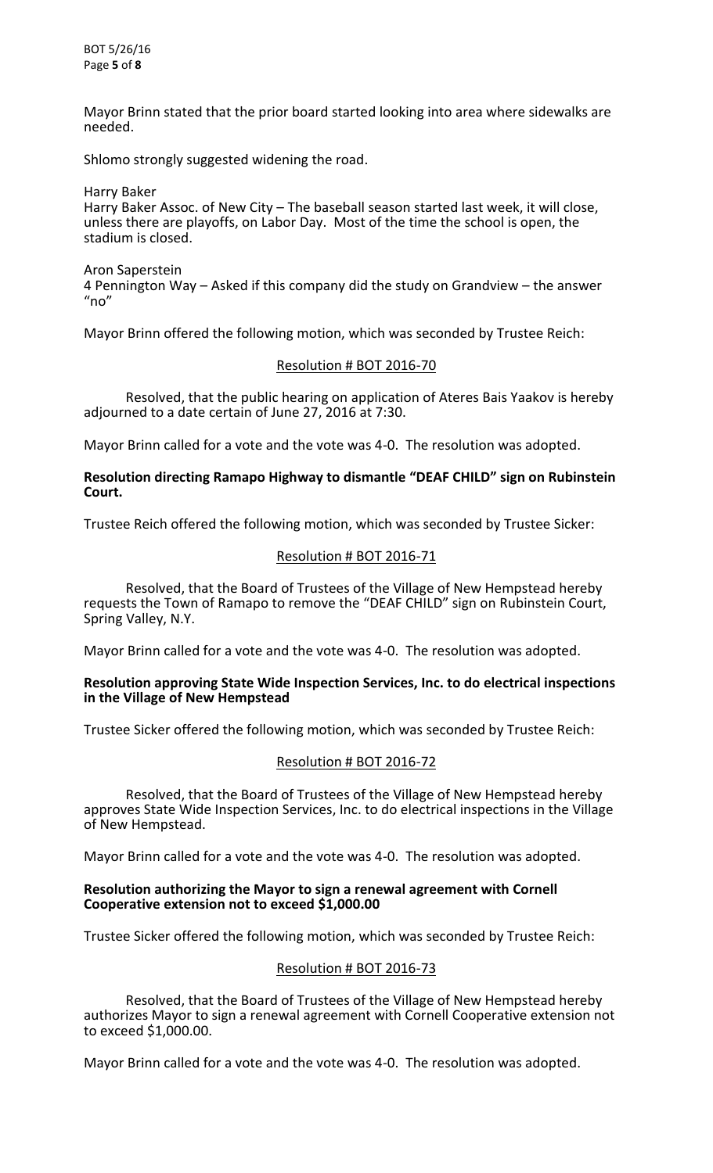Mayor Brinn stated that the prior board started looking into area where sidewalks are needed.

Shlomo strongly suggested widening the road.

Harry Baker Harry Baker Assoc. of New City – The baseball season started last week, it will close, unless there are playoffs, on Labor Day. Most of the time the school is open, the stadium is closed.

Aron Saperstein 4 Pennington Way – Asked if this company did the study on Grandview – the answer  $"no"$ 

Mayor Brinn offered the following motion, which was seconded by Trustee Reich:

### Resolution # BOT 2016-70

 Resolved, that the public hearing on application of Ateres Bais Yaakov is hereby adjourned to a date certain of June 27, 2016 at 7:30.

Mayor Brinn called for a vote and the vote was 4-0. The resolution was adopted.

### **Resolution directing Ramapo Highway to dismantle "DEAF CHILD" sign on Rubinstein Court.**

Trustee Reich offered the following motion, which was seconded by Trustee Sicker:

# Resolution # BOT 2016-71

 Resolved, that the Board of Trustees of the Village of New Hempstead hereby requests the Town of Ramapo to remove the "DEAF CHILD" sign on Rubinstein Court, Spring Valley, N.Y.

Mayor Brinn called for a vote and the vote was 4-0. The resolution was adopted.

#### **Resolution approving State Wide Inspection Services, Inc. to do electrical inspections in the Village of New Hempstead**

Trustee Sicker offered the following motion, which was seconded by Trustee Reich:

#### Resolution # BOT 2016-72

 Resolved, that the Board of Trustees of the Village of New Hempstead hereby approves State Wide Inspection Services, Inc. to do electrical inspections in the Village of New Hempstead.

Mayor Brinn called for a vote and the vote was 4-0. The resolution was adopted.

#### **Resolution authorizing the Mayor to sign a renewal agreement with Cornell Cooperative extension not to exceed \$1,000.00**

Trustee Sicker offered the following motion, which was seconded by Trustee Reich:

# Resolution # BOT 2016-73

 Resolved, that the Board of Trustees of the Village of New Hempstead hereby authorizes Mayor to sign a renewal agreement with Cornell Cooperative extension not to exceed \$1,000.00.

Mayor Brinn called for a vote and the vote was 4-0. The resolution was adopted.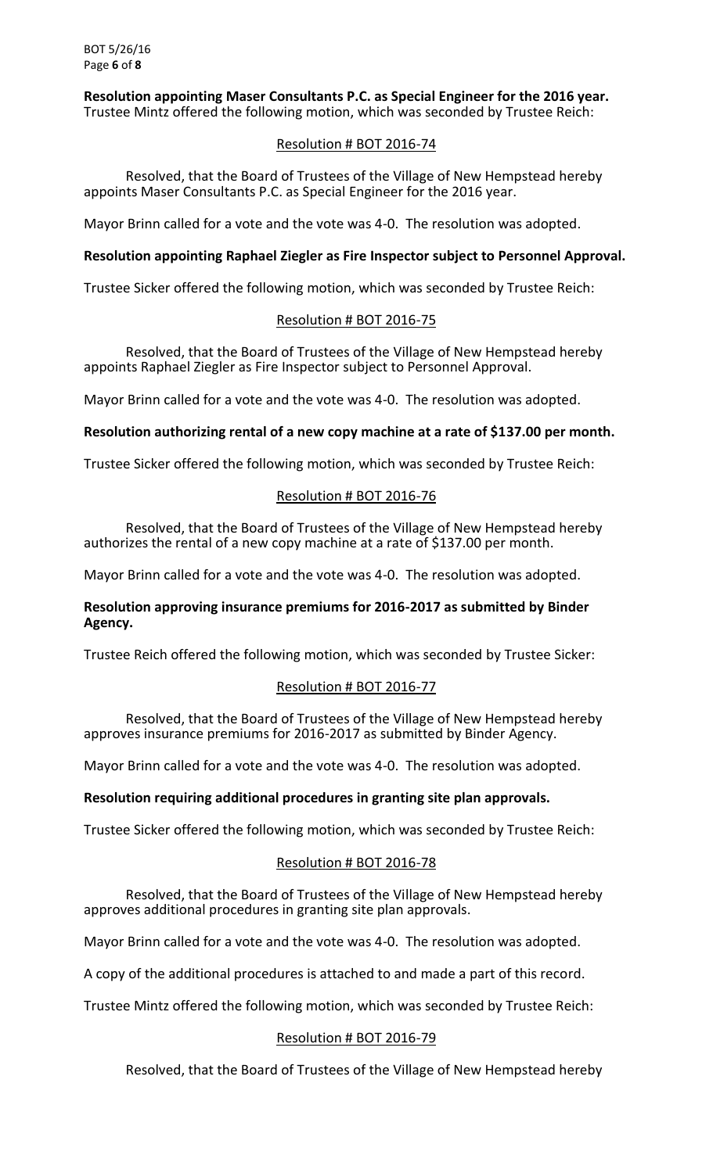**Resolution appointing Maser Consultants P.C. as Special Engineer for the 2016 year.** Trustee Mintz offered the following motion, which was seconded by Trustee Reich:

# Resolution # BOT 2016-74

 Resolved, that the Board of Trustees of the Village of New Hempstead hereby appoints Maser Consultants P.C. as Special Engineer for the 2016 year.

Mayor Brinn called for a vote and the vote was 4-0. The resolution was adopted.

# **Resolution appointing Raphael Ziegler as Fire Inspector subject to Personnel Approval.**

Trustee Sicker offered the following motion, which was seconded by Trustee Reich:

# Resolution # BOT 2016-75

 Resolved, that the Board of Trustees of the Village of New Hempstead hereby appoints Raphael Ziegler as Fire Inspector subject to Personnel Approval.

Mayor Brinn called for a vote and the vote was 4-0. The resolution was adopted.

# **Resolution authorizing rental of a new copy machine at a rate of \$137.00 per month.**

Trustee Sicker offered the following motion, which was seconded by Trustee Reich:

# Resolution # BOT 2016-76

 Resolved, that the Board of Trustees of the Village of New Hempstead hereby authorizes the rental of a new copy machine at a rate of \$137.00 per month.

Mayor Brinn called for a vote and the vote was 4-0. The resolution was adopted.

# **Resolution approving insurance premiums for 2016-2017 as submitted by Binder Agency.**

Trustee Reich offered the following motion, which was seconded by Trustee Sicker:

# Resolution # BOT 2016-77

 Resolved, that the Board of Trustees of the Village of New Hempstead hereby approves insurance premiums for 2016-2017 as submitted by Binder Agency.

Mayor Brinn called for a vote and the vote was 4-0. The resolution was adopted.

# **Resolution requiring additional procedures in granting site plan approvals.**

Trustee Sicker offered the following motion, which was seconded by Trustee Reich:

# Resolution # BOT 2016-78

 Resolved, that the Board of Trustees of the Village of New Hempstead hereby approves additional procedures in granting site plan approvals.

Mayor Brinn called for a vote and the vote was 4-0. The resolution was adopted.

A copy of the additional procedures is attached to and made a part of this record.

Trustee Mintz offered the following motion, which was seconded by Trustee Reich:

# Resolution # BOT 2016-79

Resolved, that the Board of Trustees of the Village of New Hempstead hereby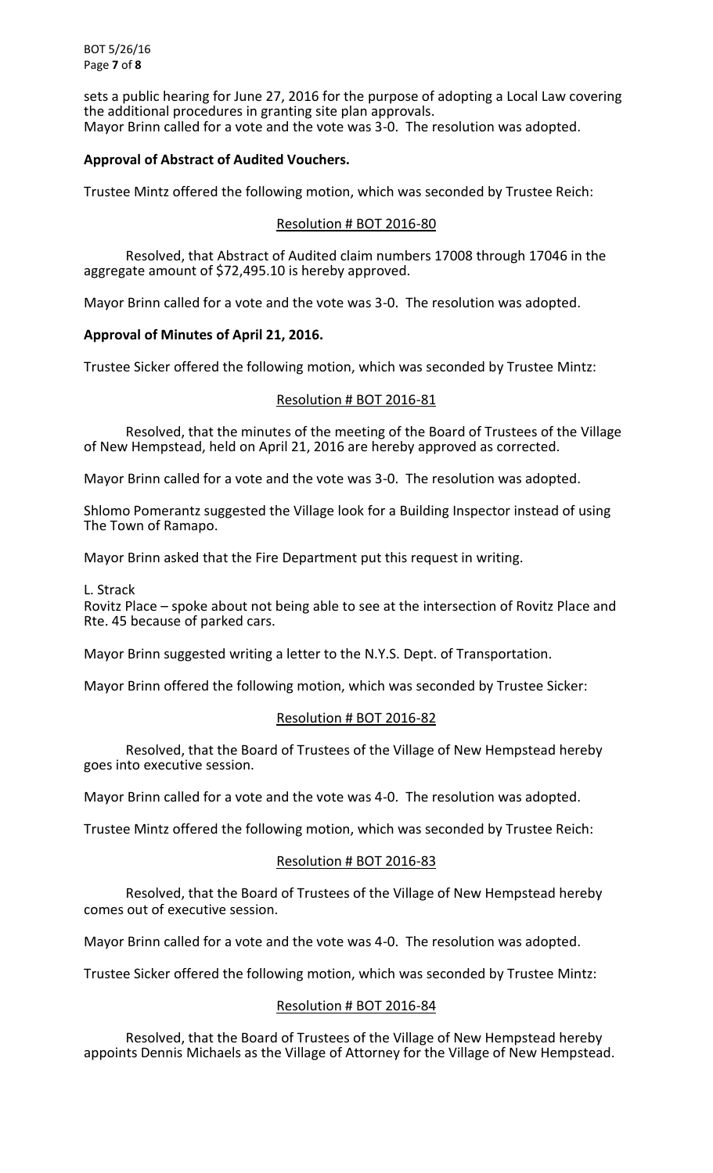sets a public hearing for June 27, 2016 for the purpose of adopting a Local Law covering the additional procedures in granting site plan approvals. Mayor Brinn called for a vote and the vote was 3-0. The resolution was adopted.

# **Approval of Abstract of Audited Vouchers.**

Trustee Mintz offered the following motion, which was seconded by Trustee Reich:

# Resolution # BOT 2016-80

 Resolved, that Abstract of Audited claim numbers 17008 through 17046 in the aggregate amount of \$72,495.10 is hereby approved.

Mayor Brinn called for a vote and the vote was 3-0. The resolution was adopted.

# **Approval of Minutes of April 21, 2016.**

Trustee Sicker offered the following motion, which was seconded by Trustee Mintz:

# Resolution # BOT 2016-81

 Resolved, that the minutes of the meeting of the Board of Trustees of the Village of New Hempstead, held on April 21, 2016 are hereby approved as corrected.

Mayor Brinn called for a vote and the vote was 3-0. The resolution was adopted.

Shlomo Pomerantz suggested the Village look for a Building Inspector instead of using The Town of Ramapo.

Mayor Brinn asked that the Fire Department put this request in writing.

L. Strack

Rovitz Place – spoke about not being able to see at the intersection of Rovitz Place and Rte. 45 because of parked cars.

Mayor Brinn suggested writing a letter to the N.Y.S. Dept. of Transportation.

Mayor Brinn offered the following motion, which was seconded by Trustee Sicker:

# Resolution # BOT 2016-82

 Resolved, that the Board of Trustees of the Village of New Hempstead hereby goes into executive session.

Mayor Brinn called for a vote and the vote was 4-0. The resolution was adopted.

Trustee Mintz offered the following motion, which was seconded by Trustee Reich:

# Resolution # BOT 2016-83

 Resolved, that the Board of Trustees of the Village of New Hempstead hereby comes out of executive session.

Mayor Brinn called for a vote and the vote was 4-0. The resolution was adopted.

Trustee Sicker offered the following motion, which was seconded by Trustee Mintz:

# Resolution # BOT 2016-84

 Resolved, that the Board of Trustees of the Village of New Hempstead hereby appoints Dennis Michaels as the Village of Attorney for the Village of New Hempstead.